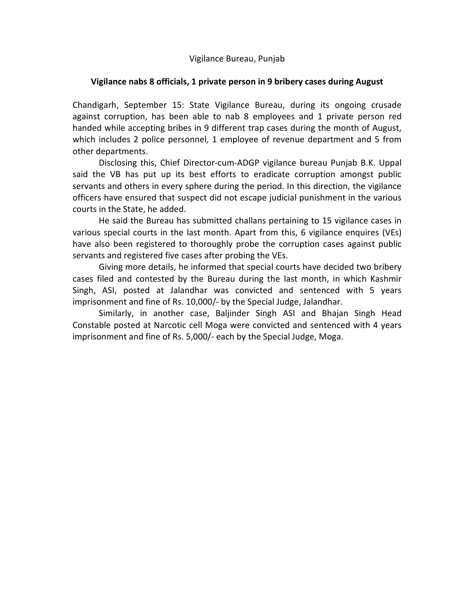Vigilance Bureau, Punjab

## **Vigilance nabs 8 officials, 1 private person in 9 bribery cases during August**

Chandigarh, September 15: State Vigilance Bureau, during its ongoing crusade against corruption, has been able to nab 8 employees and 1 private person red handed while accepting bribes in 9 different trap cases during the month of August, which includes 2 police personnel, 1 employee of revenue department and 5 from other departments.

 Disclosing this, Chief Director-cum-ADGP vigilance bureau Punjab B.K. Uppal said the VB has put up its best efforts to eradicate corruption amongst public servants and others in every sphere during the period. In this direction, the vigilance officers have ensured that suspect did not escape judicial punishment in the various courts in the State, he added.

 He said the Bureau has submitted challans pertaining to 15 vigilance cases in various special courts in the last month. Apart from this, 6 vigilance enquires (VEs) have also been registered to thoroughly probe the corruption cases against public servants and registered five cases after probing the VEs.

 Giving more details, he informed that special courts have decided two bribery cases filed and contested by the Bureau during the last month, in which Kashmir Singh, ASI, posted at Jalandhar was convicted and sentenced with 5 years imprisonment and fine of Rs. 10,000/- by the Special Judge, Jalandhar.

 Similarly, in another case, Baljinder Singh ASI and Bhajan Singh Head Constable posted at Narcotic cell Moga were convicted and sentenced with 4 years imprisonment and fine of Rs. 5,000/- each by the Special Judge, Moga.